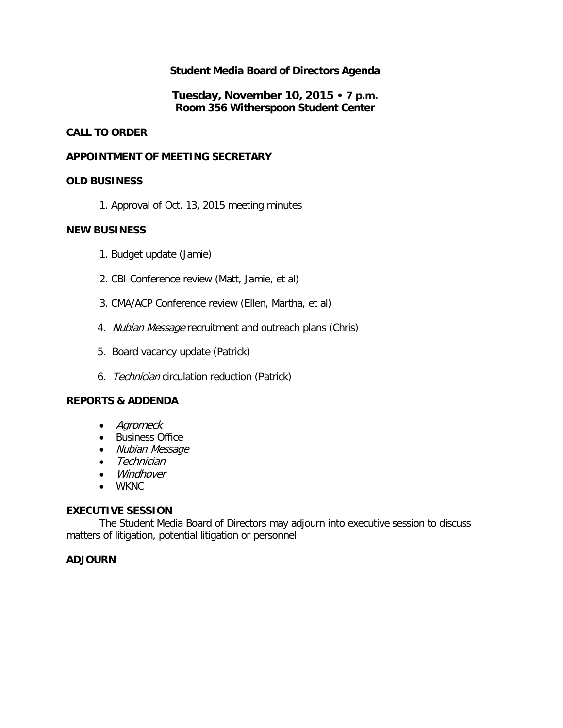### **Student Media Board of Directors Agenda**

**Tuesday, November 10, 2015 • 7 p.m. Room 356 Witherspoon Student Center**

#### **CALL TO ORDER**

#### **APPOINTMENT OF MEETING SECRETARY**

#### **OLD BUSINESS**

1. Approval of Oct. 13, 2015 meeting minutes

#### **NEW BUSINESS**

- 1. Budget update (Jamie)
- 2. CBI Conference review (Matt, Jamie, et al)
- 3. CMA/ACP Conference review (Ellen, Martha, et al)
- 4. Nubian Message recruitment and outreach plans (Chris)
- 5. Board vacancy update (Patrick)
- 6. Technician circulation reduction (Patrick)

#### **REPORTS & ADDENDA**

- Agromeck
- Business Office
- Nubian Message
- Technician
- Windhover
- WKNC

#### **EXECUTIVE SESSION**

The Student Media Board of Directors may adjourn into executive session to discuss matters of litigation, potential litigation or personnel

#### **ADJOURN**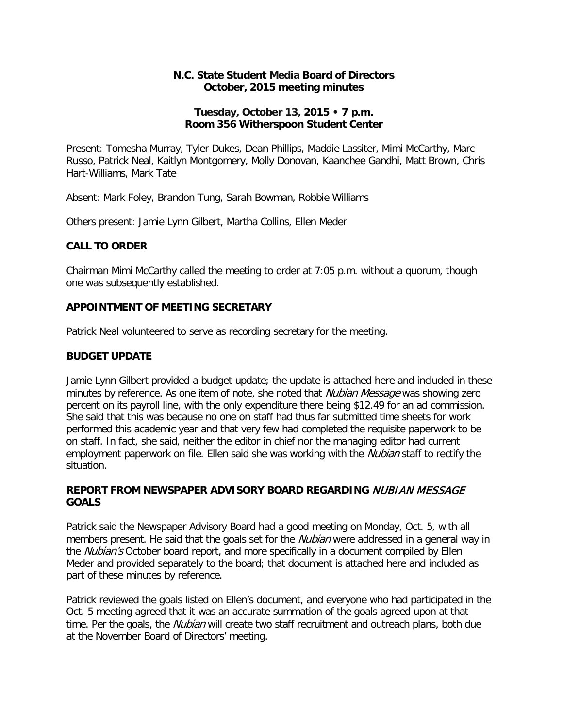#### **N.C. State Student Media Board of Directors October, 2015 meeting minutes**

#### **Tuesday, October 13, 2015 • 7 p.m. Room 356 Witherspoon Student Center**

Present: Tomesha Murray, Tyler Dukes, Dean Phillips, Maddie Lassiter, Mimi McCarthy, Marc Russo, Patrick Neal, Kaitlyn Montgomery, Molly Donovan, Kaanchee Gandhi, Matt Brown, Chris Hart-Williams, Mark Tate

Absent: Mark Foley, Brandon Tung, Sarah Bowman, Robbie Williams

Others present: Jamie Lynn Gilbert, Martha Collins, Ellen Meder

#### **CALL TO ORDER**

Chairman Mimi McCarthy called the meeting to order at 7:05 p.m. without a quorum, though one was subsequently established.

#### **APPOINTMENT OF MEETING SECRETARY**

Patrick Neal volunteered to serve as recording secretary for the meeting.

#### **BUDGET UPDATE**

Jamie Lynn Gilbert provided a budget update; the update is attached here and included in these minutes by reference. As one item of note, she noted that *Nubian Message* was showing zero percent on its payroll line, with the only expenditure there being \$12.49 for an ad commission. She said that this was because no one on staff had thus far submitted time sheets for work performed this academic year and that very few had completed the requisite paperwork to be on staff. In fact, she said, neither the editor in chief nor the managing editor had current employment paperwork on file. Ellen said she was working with the *Nubian* staff to rectify the situation.

#### **REPORT FROM NEWSPAPER ADVISORY BOARD REGARDING** NUBIAN MESSAGE **GOALS**

Patrick said the Newspaper Advisory Board had a good meeting on Monday, Oct. 5, with all members present. He said that the goals set for the *Nubian* were addressed in a general way in the *Nubian's* October board report, and more specifically in a document compiled by Ellen Meder and provided separately to the board; that document is attached here and included as part of these minutes by reference.

Patrick reviewed the goals listed on Ellen's document, and everyone who had participated in the Oct. 5 meeting agreed that it was an accurate summation of the goals agreed upon at that time. Per the goals, the *Nubian* will create two staff recruitment and outreach plans, both due at the November Board of Directors' meeting.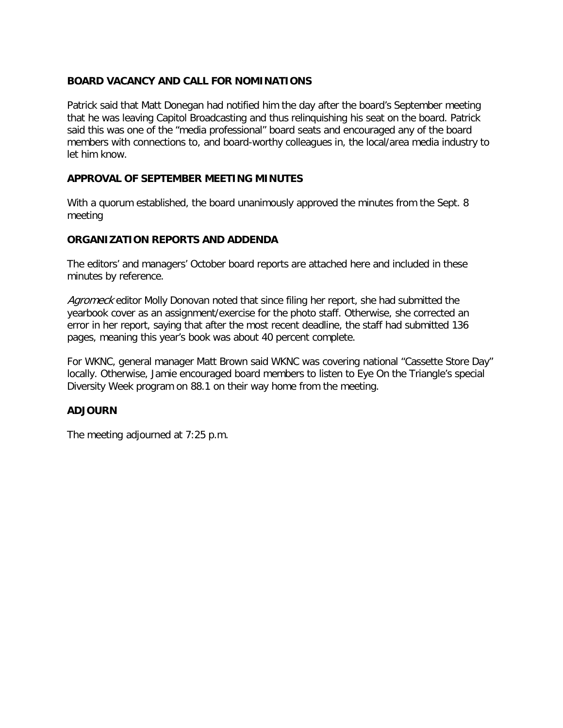#### **BOARD VACANCY AND CALL FOR NOMINATIONS**

Patrick said that Matt Donegan had notified him the day after the board's September meeting that he was leaving Capitol Broadcasting and thus relinquishing his seat on the board. Patrick said this was one of the "media professional" board seats and encouraged any of the board members with connections to, and board-worthy colleagues in, the local/area media industry to let him know.

#### **APPROVAL OF SEPTEMBER MEETING MINUTES**

With a quorum established, the board unanimously approved the minutes from the Sept. 8 meeting

# **ORGANIZATION REPORTS AND ADDENDA**

The editors' and managers' October board reports are attached here and included in these minutes by reference.

Agromeck editor Molly Donovan noted that since filing her report, she had submitted the yearbook cover as an assignment/exercise for the photo staff. Otherwise, she corrected an error in her report, saying that after the most recent deadline, the staff had submitted 136 pages, meaning this year's book was about 40 percent complete.

For WKNC, general manager Matt Brown said WKNC was covering national "Cassette Store Day" locally. Otherwise, Jamie encouraged board members to listen to Eye On the Triangle's special Diversity Week program on 88.1 on their way home from the meeting.

#### **ADJOURN**

The meeting adjourned at 7:25 p.m.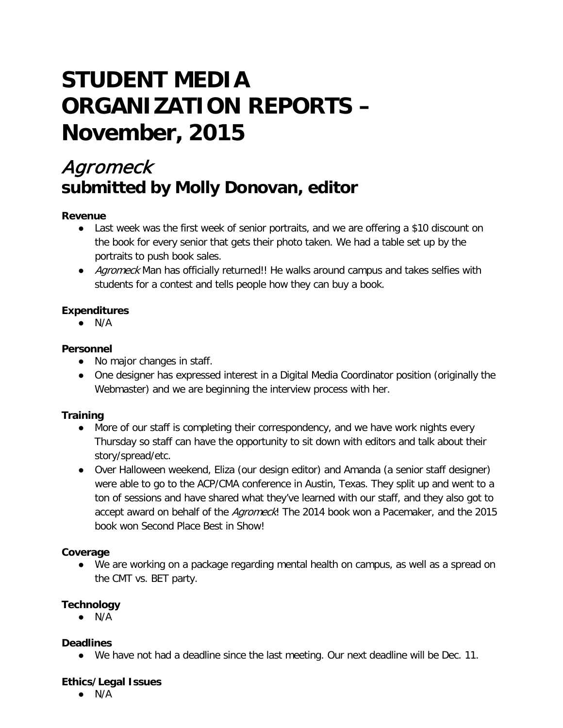# **STUDENT MEDIA ORGANIZATION REPORTS – November, 2015**

# Agromeck **submitted by Molly Donovan, editor**

### **Revenue**

- Last week was the first week of senior portraits, and we are offering a \$10 discount on the book for every senior that gets their photo taken. We had a table set up by the portraits to push book sales.
- Agromeck Man has officially returned!! He walks around campus and takes selfies with students for a contest and tells people how they can buy a book.

### **Expenditures**

 $\bullet$  N/A

### **Personnel**

- No major changes in staff.
- One designer has expressed interest in a Digital Media Coordinator position (originally the Webmaster) and we are beginning the interview process with her.

# **Training**

- More of our staff is completing their correspondency, and we have work nights every Thursday so staff can have the opportunity to sit down with editors and talk about their story/spread/etc.
- Over Halloween weekend, Eliza (our design editor) and Amanda (a senior staff designer) were able to go to the ACP/CMA conference in Austin, Texas. They split up and went to a ton of sessions and have shared what they've learned with our staff, and they also got to accept award on behalf of the Agromeck! The 2014 book won a Pacemaker, and the 2015 book won Second Place Best in Show!

#### **Coverage**

● We are working on a package regarding mental health on campus, as well as a spread on the CMT vs. BET party.

# **Technology**

 $\bullet$  N/A

# **Deadlines**

● We have not had a deadline since the last meeting. Our next deadline will be Dec. 11.

#### **Ethics/Legal Issues**

 $\bullet$  N/A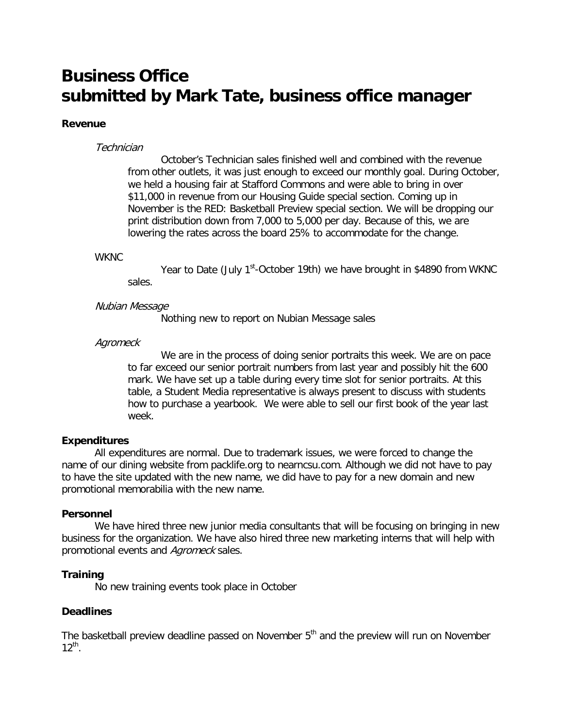# **Business Office submitted by Mark Tate, business office manager**

#### **Revenue**

#### **Technician**

October's Technician sales finished well and combined with the revenue from other outlets, it was just enough to exceed our monthly goal. During October, we held a housing fair at Stafford Commons and were able to bring in over \$11,000 in revenue from our Housing Guide special section. Coming up in November is the RED: Basketball Preview special section. We will be dropping our print distribution down from 7,000 to 5,000 per day. Because of this, we are lowering the rates across the board 25% to accommodate for the change.

#### WKNC

Year to Date (July 1<sup>st</sup>-October 19th) we have brought in \$4890 from WKNC sales.

#### Nubian Message

Nothing new to report on Nubian Message sales

#### **Agromeck**

We are in the process of doing senior portraits this week. We are on pace to far exceed our senior portrait numbers from last year and possibly hit the 600 mark. We have set up a table during every time slot for senior portraits. At this table, a Student Media representative is always present to discuss with students how to purchase a yearbook. We were able to sell our first book of the year last week.

#### **Expenditures**

All expenditures are normal. Due to trademark issues, we were forced to change the name of our dining website from packlife.org to nearncsu.com. Although we did not have to pay to have the site updated with the new name, we did have to pay for a new domain and new promotional memorabilia with the new name.

#### **Personnel**

We have hired three new junior media consultants that will be focusing on bringing in new business for the organization. We have also hired three new marketing interns that will help with promotional events and Agromeck sales.

#### **Training**

No new training events took place in October

#### **Deadlines**

The basketball preview deadline passed on November 5<sup>th</sup> and the preview will run on November  $12^{th}$ .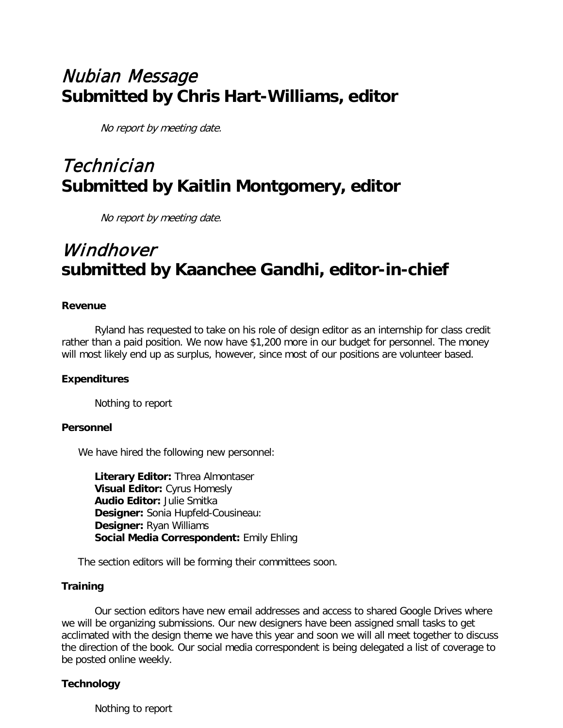# Nubian Message **Submitted by Chris Hart-Williams, editor**

No report by meeting date.

# Technician **Submitted by Kaitlin Montgomery, editor**

No report by meeting date.

# Windhover **submitted by Kaanchee Gandhi, editor-in-chief**

#### **Revenue**

Ryland has requested to take on his role of design editor as an internship for class credit rather than a paid position. We now have \$1,200 more in our budget for personnel. The money will most likely end up as surplus, however, since most of our positions are volunteer based.

# **Expenditures**

Nothing to report

#### **Personnel**

We have hired the following new personnel:

**Literary Editor:** Threa Almontaser **Visual Editor:** Cyrus Homesly **Audio Editor:** Julie Smitka **Designer:** Sonia Hupfeld-Cousineau: **Designer:** Ryan Williams **Social Media Correspondent:** Emily Ehling

The section editors will be forming their committees soon.

#### **Training**

Our section editors have new email addresses and access to shared Google Drives where we will be organizing submissions. Our new designers have been assigned small tasks to get acclimated with the design theme we have this year and soon we will all meet together to discuss the direction of the book. Our social media correspondent is being delegated a list of coverage to be posted online weekly.

#### **Technology**

Nothing to report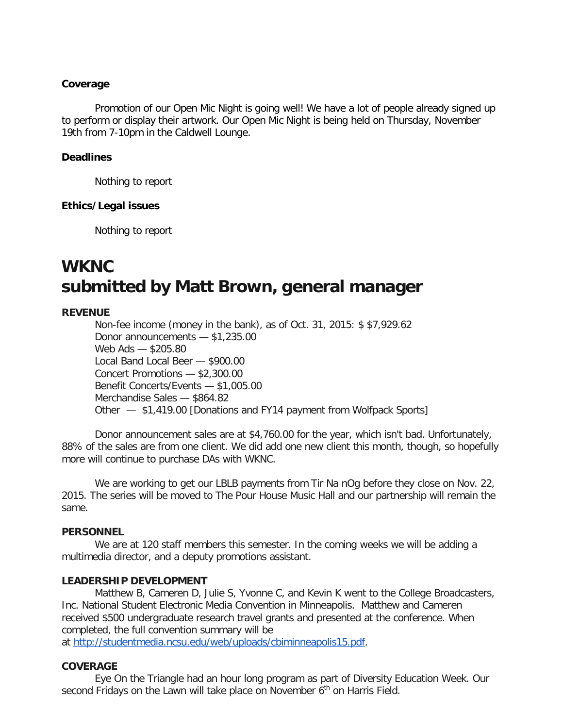#### **Coverage**

Promotion of our Open Mic Night is going well! We have a lot of people already signed up to perform or display their artwork. Our Open Mic Night is being held on Thursday, November 19th from 7-10pm in the Caldwell Lounge.

#### **Deadlines**

Nothing to report

#### **Ethics/Legal issues**

Nothing to report

# **WKNC submitted by Matt Brown, general manager**

#### **REVENUE**

Non-fee income (money in the bank), as of Oct. 31, 2015: \$ \$7,929.62 Donor announcements — \$1,235.00 Web Ads — \$205.80 Local Band Local Beer — \$900.00 Concert Promotions — \$2,300.00 Benefit Concerts/Events — \$1,005.00 Merchandise Sales — \$864.82 Other — \$1,419.00 [Donations and FY14 payment from Wolfpack Sports]

Donor announcement sales are at \$4,760.00 for the year, which isn't bad. Unfortunately, 88% of the sales are from one client. We did add one new client this month, though, so hopefully more will continue to purchase DAs with WKNC.

We are working to get our LBLB payments from Tir Na nOg before they close on Nov. 22, 2015. The series will be moved to The Pour House Music Hall and our partnership will remain the same.

#### **PERSONNEL**

We are at 120 staff members this semester. In the coming weeks we will be adding a multimedia director, and a deputy promotions assistant.

#### **LEADERSHIP DEVELOPMENT**

Matthew B, Cameren D, Julie S, Yvonne C, and Kevin K went to the College Broadcasters, Inc. National Student Electronic Media Convention in Minneapolis. Matthew and Cameren received \$500 undergraduate research travel grants and presented at the conference. When completed, the full convention summary will be

at [http://studentmedia.ncsu.edu/web/uploads/cbiminneapolis15.pdf.](http://studentmedia.ncsu.edu/web/uploads/cbiminneapolis15.pdf)

#### **COVERAGE**

Eye On the Triangle had an hour long program as part of Diversity Education Week. Our second Fridays on the Lawn will take place on November  $6<sup>th</sup>$  on Harris Field.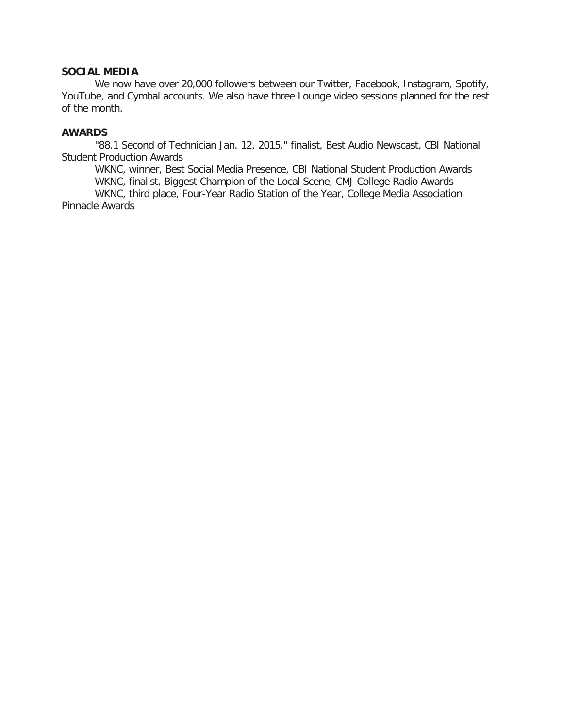#### **SOCIAL MEDIA**

We now have over 20,000 followers between our Twitter, Facebook, Instagram, Spotify, YouTube, and Cymbal accounts. We also have three Lounge video sessions planned for the rest of the month.

#### **AWARDS**

"88.1 Second of Technician Jan. 12, 2015," finalist, Best Audio Newscast, CBI National Student Production Awards

WKNC, winner, Best Social Media Presence, CBI National Student Production Awards WKNC, finalist, Biggest Champion of the Local Scene, CMJ College Radio Awards

WKNC, third place, Four-Year Radio Station of the Year, College Media Association Pinnacle Awards